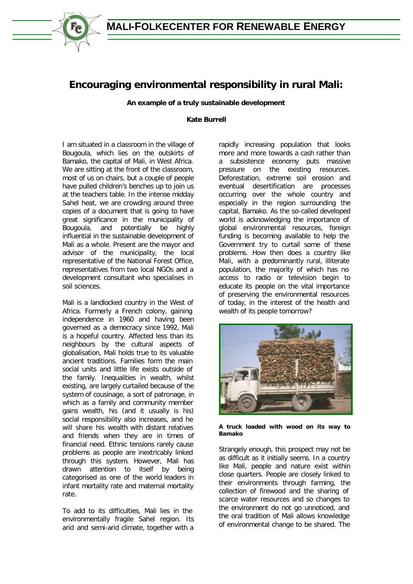

# **Encouraging environmental responsibility in rural Mali:**

**An example of a truly sustainable development**

**Kate Burrell**

I am situated in a classroom in the village of Bougoula, which lies on the outskirts of Bamako, the capital of Mali, in West Africa. We are sitting at the front of the classroom, most of us on chairs, but a couple of people have pulled children's benches up to join us at the teachers table. In the intense midday Sahel heat, we are crowding around three copies of a document that is going to have great significance in the municipality of Bougoula, and potentially be highly influential in the sustainable development of Mali as a whole. Present are the mayor and advisor of the municipality, the local representative of the National Forest Office, representatives from two local NGOs and a development consultant who specialises in soil sciences.

Mali is a landlocked country in the West of Africa. Formerly a French colony, gaining independence in 1960 and having been governed as a democracy since 1992, Mali is a hopeful country. Affected less than its neighbours by the cultural aspects of globalisation, Mali holds true to its valuable ancient traditions. Families form the main social units and little life exists outside of the family. Inequalities in wealth, whilst existing, are largely curtailed because of the system of cousinage, a sort of patronage, in which as a family and community member gains wealth, his (and it usually is his) social responsibility also increases, and he will share his wealth with distant relatives and friends when they are in times of financial need. Ethnic tensions rarely cause problems as people are inextricably linked through this system. However, Mali has drawn attention to itself by being categorised as one of the world leaders in infant mortality rate and maternal mortality rate.

To add to its difficulties, Mali lies in the environmentally fragile Sahel region. Its arid and semi-arid climate, together with a rapidly increasing population that looks more and more towards a cash rather than a subsistence economy puts massive pressure on the existing resources. Deforestation, extreme soil erosion and eventual desertification are processes occurring over the whole country and especially in the region surrounding the capital, Bamako. As the so-called developed world is acknowledging the importance of global environmental resources, foreign funding is becoming available to help the Government try to curtail some of these problems. How then does a country like Mali, with a predominantly rural, illiterate population, the majority of which has no access to radio or television begin to educate its people on the vital importance of preserving the environmental resources of today, in the interest of the health and wealth of its people tomorrow?



**A truck loaded with wood on its way to Bamako**

Strangely enough, this prospect may not be as difficult as it initially seems. In a country like Mali, people and nature exist within close quarters. People are closely linked to their environments through farming, the collection of firewood and the sharing of scarce water resources and so changes to the environment do not go unnoticed, and the oral tradition of Mali allows knowledge of environmental change to be shared. The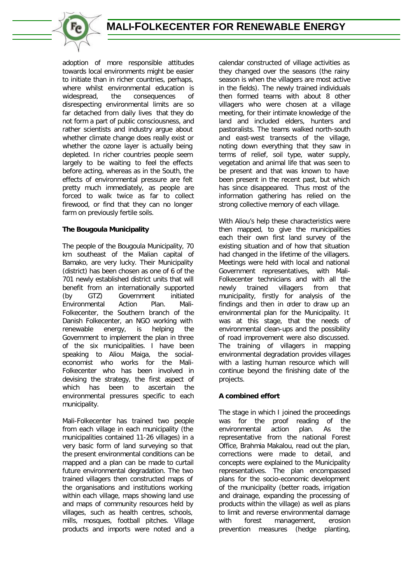

adoption of more responsible attitudes towards local environments might be easier to initiate than in richer countries, perhaps, where whilst environmental education is widespread, the consequences of disrespecting environmental limits are so far detached from daily lives that they do not form a part of public consciousness, and rather scientists and industry argue about whether climate change does really exist or whether the ozone layer is actually being depleted. In richer countries people seem largely to be waiting to feel the effects before acting, whereas as in the South, the effects of environmental pressure are felt pretty much immediately, as people are forced to walk twice as far to collect firewood, or find that they can no longer farm on previously fertile soils.

### **The Bougoula Municipality**

The people of the Bougoula Municipality, 70 km southeast of the Malian capital of Bamako, are very lucky. Their Municipality (district) has been chosen as one of 6 of the 701 newly established district units that will benefit from an internationally supported (by GTZ) Government initiated Environmental Action Plan. Mali-Folkecenter, the Southern branch of the Danish Folkecenter, an NGO working with renewable energy, is helping the Government to implement the plan in three of the six municipalities. I have been speaking to Aliou Maiga, the socialeconomist who works for the Mali-Folkecenter who has been involved in devising the strategy, the first aspect of which has been to ascertain the environmental pressures specific to each municipality.

Mali-Folkecenter has trained two people from each village in each municipality (the municipalities contained 11-26 villages) in a very basic form of land surveying so that the present environmental conditions can be mapped and a plan can be made to curtail future environmental degradation. The two trained villagers then constructed maps of the organisations and institutions working within each village, maps showing land use and maps of community resources held by villages, such as health centres, schools, mills, mosques, football pitches. Village products and imports were noted and a calendar constructed of village activities as they changed over the seasons (the rainy season is when the villagers are most active in the fields). The newly trained individuals then formed teams with about 8 other villagers who were chosen at a village meeting, for their intimate knowledge of the land and included elders, hunters and pastoralists. The teams walked north-south and east-west transects of the village, noting down everything that they saw in terms of relief, soil type, water supply, vegetation and animal life that was seen to be present and that was known to have been present in the recent past, but which has since disappeared. Thus most of the information gathering has relied on the strong collective memory of each village.

With Aliou's help these characteristics were then mapped, to give the municipalities each their own first land survey of the existing situation and of how that situation had changed in the lifetime of the villagers. Meetings were held with local and national Government representatives, with Mali-Folkecenter technicians and with all the newly trained villagers from that municipality, firstly for analysis of the findings and then in order to draw up an environmental plan for the Municipality. It was at this stage, that the needs of environmental clean-ups and the possibility of road improvement were also discussed. The training of villagers in mapping environmental degradation provides villages with a lasting human resource which will continue beyond the finishing date of the projects.

## **A combined effort**

The stage in which I joined the proceedings was for the proof reading of the environmental action plan. As the representative from the national Forest Office, Brahmia Makalou, read out the plan, corrections were made to detail, and concepts were explained to the Municipality representatives. The plan encompassed plans for the socio-economic development of the municipality (better roads, irrigation and drainage, expanding the processing of products within the village) as well as plans to limit and reverse environmental damage with forest management, erosion prevention measures (hedge planting,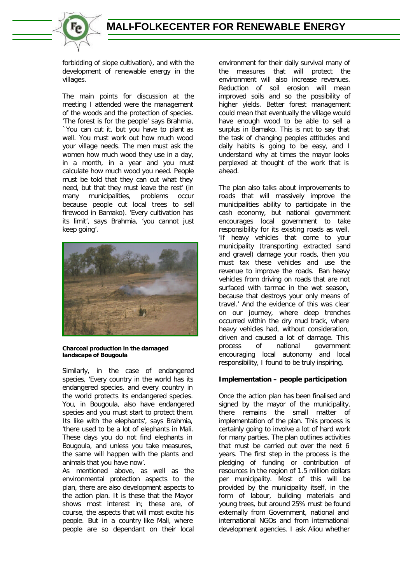

forbidding of slope cultivation), and with the development of renewable energy in the villages.

The main points for discussion at the meeting I attended were the management of the woods and the protection of species. 'The forest is for the people' says Brahmia, `You can cut it, but you have to plant as well. You must work out how much wood your village needs. The men must ask the women how much wood they use in a day, in a month, in a year and you must calculate how much wood you need. People must be told that they can cut what they need, but that they must leave the rest' (in many municipalities, problems occur because people cut local trees to sell firewood in Bamako). 'Every cultivation has its limit', says Brahmia, 'you cannot just keep going'.



#### **Charcoal production in the damaged landscape of Bougoula**

Similarly, in the case of endangered species, 'Every country in the world has its endangered species, and every country in the world protects its endangered species. You, in Bougoula, also have endangered species and you must start to protect them. Its like with the elephants', says Brahmia, 'there used to be a lot of elephants in Mali. These days you do not find elephants in Bougoula, and unless you take measures, the same will happen with the plants and animals that you have now'.

As mentioned above, as well as the environmental protection aspects to the plan, there are also development aspects to the action plan. It is these that the Mayor shows most interest in; these are, of course, the aspects that will most excite his people. But in a country like Mali, where people are so dependant on their local environment for their daily survival many of the measures that will protect the environment will also increase revenues. Reduction of soil erosion will mean improved soils and so the possibility of higher yields. Better forest management could mean that eventually the village would have enough wood to be able to sell a surplus in Bamako. This is not to say that the task of changing peoples attitudes and daily habits is going to be easy, and I understand why at times the mayor looks perplexed at thought of the work that is ahead.

The plan also talks about improvements to roads that will massively improve the municipalities ability to participate in the cash economy, but national government encourages local government to take responsibility for its existing roads as well. 'If heavy vehicles that come to your municipality (transporting extracted sand and gravel) damage your roads, then you must tax these vehicles and use the revenue to improve the roads. Ban heavy vehicles from driving on roads that are not surfaced with tarmac in the wet season, because that destroys your only means of travel.' And the evidence of this was clear on our journey, where deep trenches occurred within the dry mud track, where heavy vehicles had, without consideration, driven and caused a lot of damage. This process of national government encouraging local autonomy and local responsibility, I found to be truly inspiring.

## **Implementation – people participation**

Once the action plan has been finalised and signed by the mayor of the municipality, there remains the small matter of implementation of the plan. This process is certainly going to involve a lot of hard work for many parties. The plan outlines activities that must be carried out over the next 6 years. The first step in the process is the pledging of funding or contribution of resources in the region of 1.5 million dollars per municipality. Most of this will be provided by the municipality itself, in the form of labour, building materials and young trees, but around 25% must be found externally from Government, national and international NGOs and from international development agencies. I ask Aliou whether